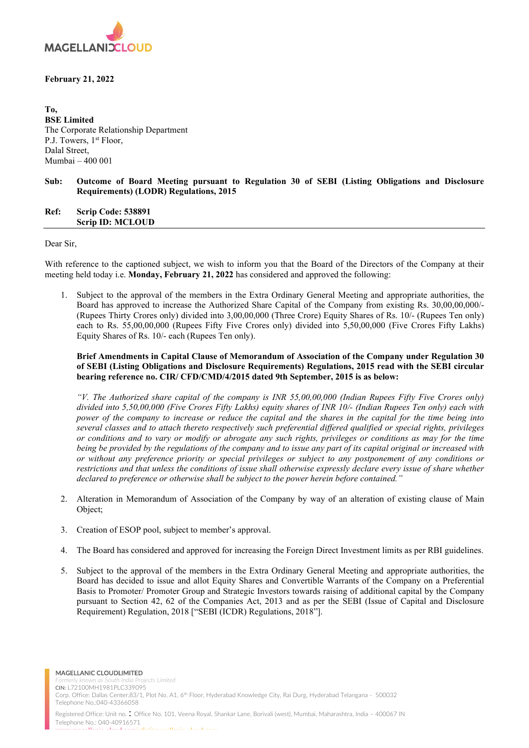

## February 21, 2022

To, BSE Limited The Corporate Relationship Department P.J. Towers, 1<sup>st</sup> Floor, Dalal Street, Mumbai – 400 001

# Sub: Outcome of Board Meeting pursuant to Regulation 30 of SEBI (Listing Obligations and Disclosure Requirements) (LODR) Regulations, 2015

Ref: Scrip Code: 538891 Scrip ID: MCLOUD

Dear Sir,

With reference to the captioned subject, we wish to inform you that the Board of the Directors of the Company at their meeting held today i.e. Monday, February 21, 2022 has considered and approved the following:

1. Subject to the approval of the members in the Extra Ordinary General Meeting and appropriate authorities, the Board has approved to increase the Authorized Share Capital of the Company from existing Rs. 30,00,00,000/- (Rupees Thirty Crores only) divided into 3,00,00,000 (Three Crore) Equity Shares of Rs. 10/- (Rupees Ten only) each to Rs. 55,00,00,000 (Rupees Fifty Five Crores only) divided into 5,50,00,000 (Five Crores Fifty Lakhs) Equity Shares of Rs. 10/- each (Rupees Ten only).

Brief Amendments in Capital Clause of Memorandum of Association of the Company under Regulation 30 of SEBI (Listing Obligations and Disclosure Requirements) Regulations, 2015 read with the SEBI circular bearing reference no. CIR/ CFD/CMD/4/2015 dated 9th September, 2015 is as below:

"V. The Authorized share capital of the company is INR 55,00,00,000 (Indian Rupees Fifty Five Crores only) divided into 5,50,00,000 (Five Crores Fifty Lakhs) equity shares of INR 10/- (Indian Rupees Ten only) each with power of the company to increase or reduce the capital and the shares in the capital for the time being into several classes and to attach thereto respectively such preferential differed qualified or special rights, privileges or conditions and to vary or modify or abrogate any such rights, privileges or conditions as may for the time being be provided by the regulations of the company and to issue any part of its capital original or increased with or without any preference priority or special privileges or subject to any postponement of any conditions or restrictions and that unless the conditions of issue shall otherwise expressly declare every issue of share whether declared to preference or otherwise shall be subject to the power herein before contained."

- 2. Alteration in Memorandum of Association of the Company by way of an alteration of existing clause of Main Object;
- 3. Creation of ESOP pool, subject to member's approval.
- 4. The Board has considered and approved for increasing the Foreign Direct Investment limits as per RBI guidelines.
- 5. Subject to the approval of the members in the Extra Ordinary General Meeting and appropriate authorities, the Board has decided to issue and allot Equity Shares and Convertible Warrants of the Company on a Preferential Basis to Promoter/ Promoter Group and Strategic Investors towards raising of additional capital by the Company pursuant to Section 42, 62 of the Companies Act, 2013 and as per the SEBI (Issue of Capital and Disclosure Requirement) Regulation, 2018 ["SEBI (ICDR) Regulations, 2018"].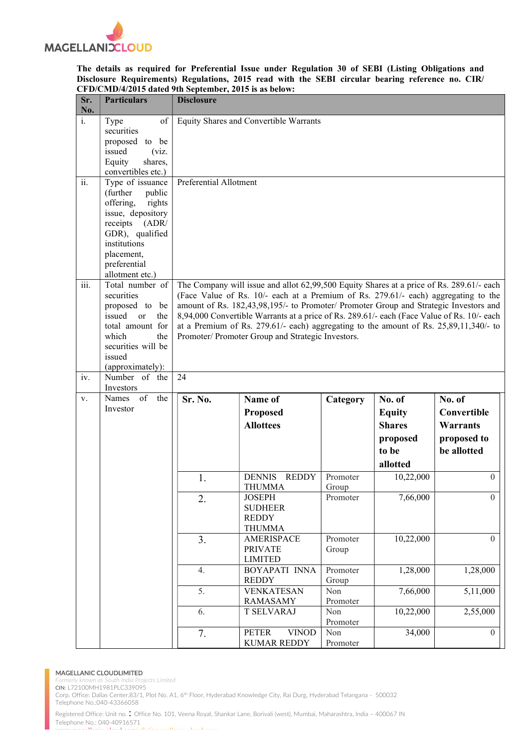

### The details as required for Preferential Issue under Regulation 30 of SEBI (Listing Obligations and Disclosure Requirements) Regulations, 2015 read with the SEBI circular bearing reference no. CIR/ CFD/CMD/4/2015 dated 9th September, 2015 is as below:

| Sr.<br>No.                       | <b>Particulars</b>                                                                                                                                                                           | <b>Disclosure</b>                                                                                                                                                                                                                                                                                                                                                                                                                                                                                                             |                                                                                                                    |                               |                                                                           |                                                                        |
|----------------------------------|----------------------------------------------------------------------------------------------------------------------------------------------------------------------------------------------|-------------------------------------------------------------------------------------------------------------------------------------------------------------------------------------------------------------------------------------------------------------------------------------------------------------------------------------------------------------------------------------------------------------------------------------------------------------------------------------------------------------------------------|--------------------------------------------------------------------------------------------------------------------|-------------------------------|---------------------------------------------------------------------------|------------------------------------------------------------------------|
| $\overline{i}$ .                 | of<br>Type<br>securities<br>proposed to be<br>issued<br>(viz.<br>Equity<br>shares,<br>convertibles etc.)                                                                                     | Equity Shares and Convertible Warrants                                                                                                                                                                                                                                                                                                                                                                                                                                                                                        |                                                                                                                    |                               |                                                                           |                                                                        |
| ii.                              | Type of issuance<br>(further)<br>public<br>offering,<br>rights<br>issue, depository<br>receipts<br>(ADR)<br>GDR), qualified<br>institutions<br>placement,<br>preferential<br>allotment etc.) | Preferential Allotment                                                                                                                                                                                                                                                                                                                                                                                                                                                                                                        |                                                                                                                    |                               |                                                                           |                                                                        |
| $\overline{\text{iii}}$ .<br>iv. | Total number of<br>securities<br>proposed to<br>be<br>issued<br>$\alpha$<br>the<br>total amount for<br>which<br>the<br>securities will be<br>issued<br>(approximately):<br>Number of the     | The Company will issue and allot 62,99,500 Equity Shares at a price of Rs. 289.61/- each<br>(Face Value of Rs. 10/- each at a Premium of Rs. 279.61/- each) aggregating to the<br>amount of Rs. 182,43,98,195/- to Promoter/ Promoter Group and Strategic Investors and<br>8,94,000 Convertible Warrants at a price of Rs. 289.61/- each (Face Value of Rs. 10/- each<br>at a Premium of Rs. $279.61/-$ each) aggregating to the amount of Rs. $25,89,11,340/-$ to<br>Promoter/ Promoter Group and Strategic Investors.<br>24 |                                                                                                                    |                               |                                                                           |                                                                        |
| V.                               | Investors<br>Names<br>of<br>the<br>Investor                                                                                                                                                  | Sr. No.                                                                                                                                                                                                                                                                                                                                                                                                                                                                                                                       | Name of<br><b>Proposed</b><br><b>Allottees</b>                                                                     | Category                      | No. of<br><b>Equity</b><br><b>Shares</b><br>proposed<br>to be<br>allotted | No. of<br>Convertible<br><b>Warrants</b><br>proposed to<br>be allotted |
|                                  |                                                                                                                                                                                              | 1.<br>2.                                                                                                                                                                                                                                                                                                                                                                                                                                                                                                                      | <b>REDDY</b><br><b>DENNIS</b><br><b>THUMMA</b><br><b>JOSEPH</b><br><b>SUDHEER</b><br><b>REDDY</b><br><b>THUMMA</b> | Promoter<br>Group<br>Promoter | 10,22,000<br>7,66,000                                                     | $\overline{0}$<br>$\overline{0}$                                       |
|                                  |                                                                                                                                                                                              | 3.                                                                                                                                                                                                                                                                                                                                                                                                                                                                                                                            | <b>AMERISPACE</b><br><b>PRIVATE</b><br><b>LIMITED</b>                                                              | Promoter<br>Group             | 10,22,000                                                                 | $\theta$                                                               |
|                                  |                                                                                                                                                                                              | 4.                                                                                                                                                                                                                                                                                                                                                                                                                                                                                                                            | <b>BOYAPATI INNA</b><br><b>REDDY</b>                                                                               | Promoter<br>Group             | 1,28,000                                                                  | 1,28,000                                                               |
|                                  |                                                                                                                                                                                              | 5.                                                                                                                                                                                                                                                                                                                                                                                                                                                                                                                            | <b>VENKATESAN</b><br><b>RAMASAMY</b>                                                                               | Non<br>Promoter               | 7,66,000                                                                  | 5,11,000                                                               |
|                                  |                                                                                                                                                                                              | 6.                                                                                                                                                                                                                                                                                                                                                                                                                                                                                                                            | <b>T SELVARAJ</b>                                                                                                  | Non<br>Promoter               | 10,22,000                                                                 | 2,55,000                                                               |
|                                  |                                                                                                                                                                                              | 7.                                                                                                                                                                                                                                                                                                                                                                                                                                                                                                                            | <b>PETER</b><br><b>VINOD</b><br><b>KUMAR REDDY</b>                                                                 | Non<br>Promoter               | 34,000                                                                    | $\overline{0}$                                                         |

### MAGELLANIC CLOUDLIMITED

ojects Limited

CIN: L72100MH1981PLC339095 Corp. Office: Dallas Center,83/1, Plot No. A1, 6<sup>th</sup> Floor, Hyderabad Knowledge City, Rai Durg, Hyderabad Telangana - 500032

Telephone No.:040-43366058

Registered Office: Unit no. : Office No. 101, Veena Royal, Shankar Lane, Borivali (west), Mumbai, Maharashtra, India – 400067 IN Telephone No.: 040-40916571 where  $\mathbf{m}$  is the cloud.coming  $\mathbf{m}$  is the community of  $\mathbf{m}$  is the computation of  $\mathbf{m}$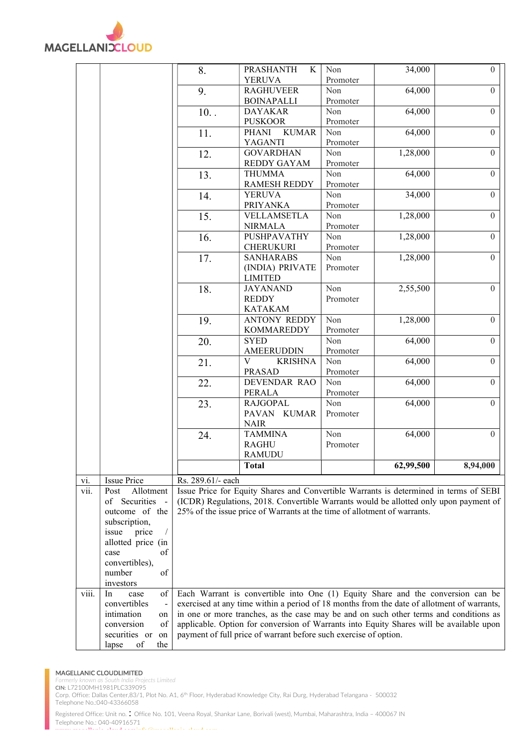

|       |                              | 8.                | <b>PRASHANTH</b><br>K                                                                      | Non             | 34,000    | $\theta$       |
|-------|------------------------------|-------------------|--------------------------------------------------------------------------------------------|-----------------|-----------|----------------|
|       |                              |                   | <b>YERUVA</b><br><b>RAGHUVEER</b>                                                          | Promoter<br>Non | 64,000    | $\theta$       |
|       |                              | 9.                | <b>BOINAPALLI</b>                                                                          | Promoter        |           |                |
|       |                              | 10.               | <b>DAYAKAR</b>                                                                             | Non             | 64,000    | $\overline{0}$ |
|       |                              |                   | <b>PUSKOOR</b>                                                                             | Promoter        |           |                |
|       |                              | 11.               | PHANI<br><b>KUMAR</b>                                                                      | Non             | 64,000    | $\overline{0}$ |
|       |                              |                   | YAGANTI                                                                                    | Promoter        |           |                |
|       |                              | 12.               | <b>GOVARDHAN</b>                                                                           | Non             | 1,28,000  | $\Omega$       |
|       |                              |                   | <b>REDDY GAYAM</b>                                                                         | Promoter        |           |                |
|       |                              | 13.               | <b>THUMMA</b>                                                                              | Non             | 64,000    | $\overline{0}$ |
|       |                              |                   | <b>RAMESH REDDY</b>                                                                        | Promoter        |           |                |
|       |                              | 14.               | <b>YERUVA</b>                                                                              | Non             | 34,000    | $\overline{0}$ |
|       |                              |                   | <b>PRIYANKA</b>                                                                            | Promoter        |           |                |
|       |                              | 15.               | VELLAMSETLA                                                                                | Non             | 1,28,000  | $\theta$       |
|       |                              |                   | <b>NIRMALA</b>                                                                             | Promoter        |           |                |
|       |                              | 16.               | PUSHPAVATHY                                                                                | Non             | 1,28,000  | $\overline{0}$ |
|       |                              |                   | <b>CHERUKURI</b>                                                                           | Promoter        |           |                |
|       |                              | 17.               | <b>SANHARABS</b>                                                                           | Non             | 1,28,000  | $\theta$       |
|       |                              |                   | (INDIA) PRIVATE                                                                            | Promoter        |           |                |
|       |                              |                   | <b>LIMITED</b>                                                                             |                 |           |                |
|       |                              | 18.               | <b>JAYANAND</b>                                                                            | Non             | 2,55,500  | $\theta$       |
|       |                              |                   | <b>REDDY</b>                                                                               | Promoter        |           |                |
|       |                              |                   | <b>KATAKAM</b>                                                                             |                 |           |                |
|       |                              | 19.               | <b>ANTONY REDDY</b>                                                                        | Non             | 1,28,000  | $\theta$       |
|       |                              |                   | <b>KOMMAREDDY</b>                                                                          | Promoter        |           |                |
|       |                              | 20.               | <b>SYED</b>                                                                                | Non             | 64,000    | $\Omega$       |
|       |                              |                   | <b>AMEERUDDIN</b>                                                                          | Promoter        |           |                |
|       |                              | 21.               | $\mathbf{V}$<br><b>KRISHNA</b>                                                             | Non             | 64,000    | $\overline{0}$ |
|       |                              |                   | <b>PRASAD</b>                                                                              | Promoter        |           |                |
|       |                              | 22.               | DEVENDAR RAO                                                                               | Non             | 64,000    | $\mathbf{0}$   |
|       |                              |                   | PERALA                                                                                     | Promoter        |           |                |
|       |                              | 23.               | <b>RAJGOPAL</b>                                                                            | Non             | 64,000    | $\overline{0}$ |
|       |                              |                   | PAVAN KUMAR                                                                                | Promoter        |           |                |
|       |                              |                   | <b>NAIR</b>                                                                                |                 |           |                |
|       |                              | 24.               | <b>TAMMINA</b>                                                                             | Non             | 64,000    | $\overline{0}$ |
|       |                              |                   | <b>RAGHU</b><br><b>RAMUDU</b>                                                              | Promoter        |           |                |
|       |                              |                   | <b>Total</b>                                                                               |                 | 62,99,500 | 8,94,000       |
|       |                              |                   |                                                                                            |                 |           |                |
| vi.   | <b>Issue Price</b>           | Rs. 289.61/- each |                                                                                            |                 |           |                |
| vii.  | Allotment<br>Post            |                   | Issue Price for Equity Shares and Convertible Warrants is determined in terms of SEBI      |                 |           |                |
|       | of Securities<br>$\sim$      |                   | (ICDR) Regulations, 2018. Convertible Warrants would be allotted only upon payment of      |                 |           |                |
|       | outcome of the               |                   | 25% of the issue price of Warrants at the time of allotment of warrants.                   |                 |           |                |
|       | subscription,                |                   |                                                                                            |                 |           |                |
|       | price<br>issue               |                   |                                                                                            |                 |           |                |
|       | allotted price (in           |                   |                                                                                            |                 |           |                |
|       | of<br>case<br>convertibles), |                   |                                                                                            |                 |           |                |
|       | number<br>of                 |                   |                                                                                            |                 |           |                |
|       | investors                    |                   |                                                                                            |                 |           |                |
| viii. | In<br>of<br>case             |                   | Each Warrant is convertible into One (1) Equity Share and the conversion can be            |                 |           |                |
|       | convertibles                 |                   | exercised at any time within a period of 18 months from the date of allotment of warrants, |                 |           |                |
|       | intimation<br>on             |                   | in one or more tranches, as the case may be and on such other terms and conditions as      |                 |           |                |
|       | of<br>conversion             |                   | applicable. Option for conversion of Warrants into Equity Shares will be available upon    |                 |           |                |
|       | securities or<br>on          |                   | payment of full price of warrant before such exercise of option.                           |                 |           |                |
|       | of<br>lapse<br>the           |                   |                                                                                            |                 |           |                |

### MAGELLANIC CLOUDLIMITED

outh India Projects Limited CIN: L72100MH1981PLC339095 Corp. Office: Dallas Center,83/1, Plot No. A1, 6<sup>th</sup> Floor, Hyderabad Knowledge City, Rai Durg, Hyderabad Telangana - 500032 Telephone No.:040-43366058 Registered Office: Unit no. : Office No. 101, Veena Royal, Shankar Lane, Borivali (west), Mumbai, Maharashtra, India – 400067 IN

Telephone No.: 040-40916571 where  $\mathbf{m}$  is the cloud.coming  $\mathbf{m}$  is the community of  $\mathbf{m}$  is the computation of  $\mathbf{m}$